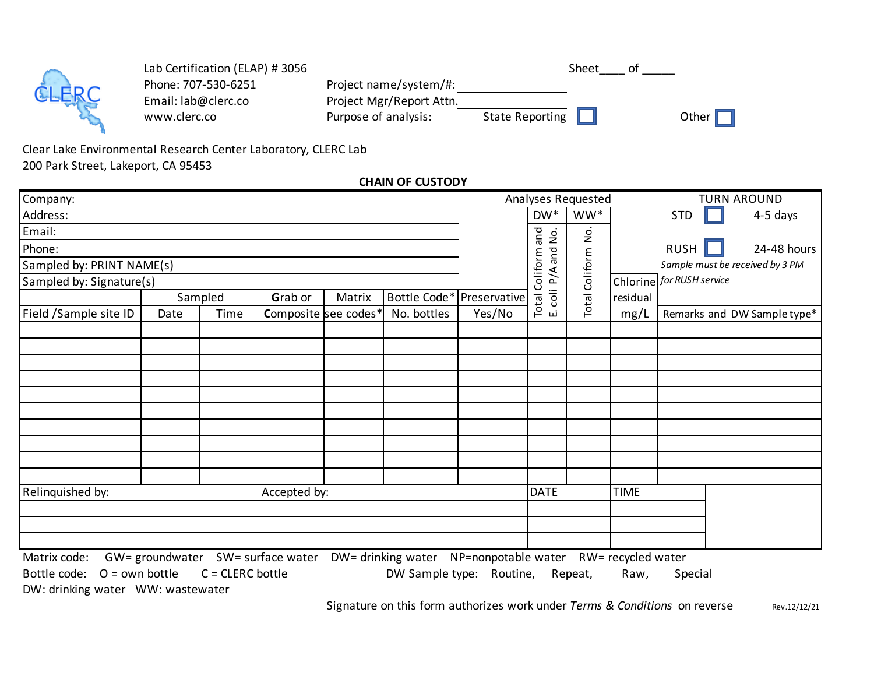|    | Lab Certification (ELAP) # 3056 |                          |                        | Sheet | Ωt         |
|----|---------------------------------|--------------------------|------------------------|-------|------------|
|    | Phone: 707-530-6251             | Project name/system/#:   |                        |       |            |
| RC | Email: lab@clerc.co             | Project Mgr/Report Attn. |                        |       |            |
|    | www.clerc.co                    | Purpose of analysis:     | <b>State Reporting</b> |       | Other $\ $ |

200 Park Street, Lakeport, CA 95453 Clear Lake Environmental Research Center Laboratory, CLERC Lab

**CHAIN OF CUSTODY**

| Company:                         |                 |                    |         |                      | Analyses Requested                                                          |             |                      |          | <b>TURN AROUND</b> |                                 |                             |  |  |
|----------------------------------|-----------------|--------------------|---------|----------------------|-----------------------------------------------------------------------------|-------------|----------------------|----------|--------------------|---------------------------------|-----------------------------|--|--|
| Address:                         |                 |                    |         |                      |                                                                             |             | $DW^*$               | WW*      |                    | <b>STD</b>                      | 4-5 days                    |  |  |
| Email:                           |                 |                    |         |                      |                                                                             |             | and<br>$\frac{1}{2}$ | <u>ò</u> |                    |                                 |                             |  |  |
| Phone:                           |                 |                    |         |                      |                                                                             |             | and                  |          |                    | <b>RUSH</b>                     | 24-48 hours                 |  |  |
| Sampled by: PRINT NAME(s)        |                 |                    |         |                      |                                                                             |             | Coliform             | Coliform |                    | Sample must be received by 3 PM |                             |  |  |
| Sampled by: Signature(s)         |                 |                    |         |                      |                                                                             |             | P/A                  |          |                    | Chlorine for RUSH service       |                             |  |  |
|                                  |                 | Sampled            | Grab or | Matrix               | Bottle Code* Preservative                                                   |             | coli<br>Total        | Total    | residual           |                                 |                             |  |  |
| Field /Sample site ID            | Date            | Time               |         | Composite see codes* | No. bottles                                                                 | Yes/No      | ய                    |          | mg/L               |                                 | Remarks and DW Sample type* |  |  |
|                                  |                 |                    |         |                      |                                                                             |             |                      |          |                    |                                 |                             |  |  |
|                                  |                 |                    |         |                      |                                                                             |             |                      |          |                    |                                 |                             |  |  |
|                                  |                 |                    |         |                      |                                                                             |             |                      |          |                    |                                 |                             |  |  |
|                                  |                 |                    |         |                      |                                                                             |             |                      |          |                    |                                 |                             |  |  |
|                                  |                 |                    |         |                      |                                                                             |             |                      |          |                    |                                 |                             |  |  |
|                                  |                 |                    |         |                      |                                                                             |             |                      |          |                    |                                 |                             |  |  |
|                                  |                 |                    |         |                      |                                                                             |             |                      |          |                    |                                 |                             |  |  |
|                                  |                 |                    |         |                      |                                                                             |             |                      |          |                    |                                 |                             |  |  |
|                                  |                 |                    |         |                      |                                                                             |             |                      |          |                    |                                 |                             |  |  |
|                                  |                 |                    |         |                      |                                                                             |             |                      |          |                    |                                 |                             |  |  |
| Relinquished by:<br>Accepted by: |                 |                    |         | <b>DATE</b>          |                                                                             | <b>TIME</b> |                      |          |                    |                                 |                             |  |  |
|                                  |                 |                    |         |                      |                                                                             |             |                      |          |                    |                                 |                             |  |  |
|                                  |                 |                    |         |                      |                                                                             |             |                      |          |                    |                                 |                             |  |  |
|                                  |                 |                    |         |                      |                                                                             |             |                      |          |                    |                                 |                             |  |  |
| Matrix code:                     | GW= groundwater |                    |         |                      | SW= surface water DW= drinking water NP=nonpotable water RW= recycled water |             |                      |          |                    |                                 |                             |  |  |
| $O = own bottle$<br>Bottle code: |                 | $C = CLERC$ bottle |         |                      | DW Sample type: Routine,                                                    |             |                      | Repeat,  | Raw,               | Special                         |                             |  |  |

DW: drinking water WW: wastewater

Rev.12/12/21 Signature on this form authorizes work under *Terms & Conditions* on reverse